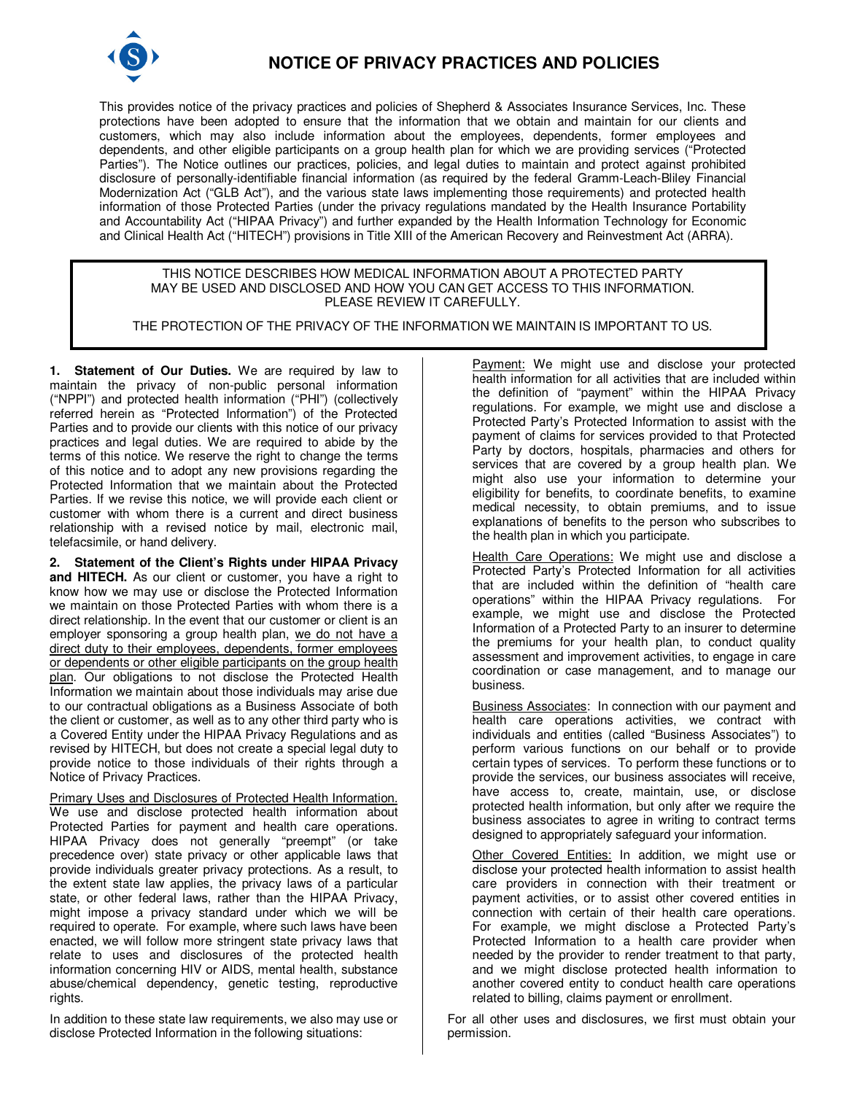

## **NOTICE OF PRIVACY PRACTICES AND POLICIES**

This provides notice of the privacy practices and policies of Shepherd & Associates Insurance Services, Inc. These protections have been adopted to ensure that the information that we obtain and maintain for our clients and customers, which may also include information about the employees, dependents, former employees and dependents, and other eligible participants on a group health plan for which we are providing services ("Protected Parties"). The Notice outlines our practices, policies, and legal duties to maintain and protect against prohibited disclosure of personally-identifiable financial information (as required by the federal Gramm-Leach-Bliley Financial Modernization Act ("GLB Act"), and the various state laws implementing those requirements) and protected health information of those Protected Parties (under the privacy regulations mandated by the Health Insurance Portability and Accountability Act ("HIPAA Privacy") and further expanded by the Health Information Technology for Economic and Clinical Health Act ("HITECH") provisions in Title XIII of the American Recovery and Reinvestment Act (ARRA).

## THIS NOTICE DESCRIBES HOW MEDICAL INFORMATION ABOUT A PROTECTED PARTY MAY BE USED AND DISCLOSED AND HOW YOU CAN GET ACCESS TO THIS INFORMATION. PLEASE REVIEW IT CAREFULLY.

## THE PROTECTION OF THE PRIVACY OF THE INFORMATION WE MAINTAIN IS IMPORTANT TO US.

**1. Statement of Our Duties.** We are required by law to maintain the privacy of non-public personal information ("NPPI") and protected health information ("PHI") (collectively referred herein as "Protected Information") of the Protected Parties and to provide our clients with this notice of our privacy practices and legal duties. We are required to abide by the terms of this notice. We reserve the right to change the terms of this notice and to adopt any new provisions regarding the Protected Information that we maintain about the Protected Parties. If we revise this notice, we will provide each client or customer with whom there is a current and direct business relationship with a revised notice by mail, electronic mail, telefacsimile, or hand delivery.

**2. Statement of the Client's Rights under HIPAA Privacy and HITECH.** As our client or customer, you have a right to know how we may use or disclose the Protected Information we maintain on those Protected Parties with whom there is a direct relationship. In the event that our customer or client is an employer sponsoring a group health plan, we do not have a direct duty to their employees, dependents, former employees or dependents or other eligible participants on the group health plan. Our obligations to not disclose the Protected Health Information we maintain about those individuals may arise due to our contractual obligations as a Business Associate of both the client or customer, as well as to any other third party who is a Covered Entity under the HIPAA Privacy Regulations and as revised by HITECH, but does not create a special legal duty to provide notice to those individuals of their rights through a Notice of Privacy Practices.

Primary Uses and Disclosures of Protected Health Information. We use and disclose protected health information about Protected Parties for payment and health care operations. HIPAA Privacy does not generally "preempt" (or take precedence over) state privacy or other applicable laws that provide individuals greater privacy protections. As a result, to the extent state law applies, the privacy laws of a particular state, or other federal laws, rather than the HIPAA Privacy, might impose a privacy standard under which we will be required to operate. For example, where such laws have been enacted, we will follow more stringent state privacy laws that relate to uses and disclosures of the protected health information concerning HIV or AIDS, mental health, substance abuse/chemical dependency, genetic testing, reproductive rights.

In addition to these state law requirements, we also may use or disclose Protected Information in the following situations:

Payment: We might use and disclose your protected health information for all activities that are included within the definition of "payment" within the HIPAA Privacy regulations. For example, we might use and disclose a Protected Party's Protected Information to assist with the payment of claims for services provided to that Protected Party by doctors, hospitals, pharmacies and others for services that are covered by a group health plan. We might also use your information to determine your eligibility for benefits, to coordinate benefits, to examine medical necessity, to obtain premiums, and to issue explanations of benefits to the person who subscribes to the health plan in which you participate.

Health Care Operations: We might use and disclose a Protected Party's Protected Information for all activities that are included within the definition of "health care operations" within the HIPAA Privacy regulations. For example, we might use and disclose the Protected Information of a Protected Party to an insurer to determine the premiums for your health plan, to conduct quality assessment and improvement activities, to engage in care coordination or case management, and to manage our business.

Business Associates: In connection with our payment and health care operations activities, we contract with individuals and entities (called "Business Associates") to perform various functions on our behalf or to provide certain types of services. To perform these functions or to provide the services, our business associates will receive, have access to, create, maintain, use, or disclose protected health information, but only after we require the business associates to agree in writing to contract terms designed to appropriately safeguard your information.

Other Covered Entities: In addition, we might use or disclose your protected health information to assist health care providers in connection with their treatment or payment activities, or to assist other covered entities in connection with certain of their health care operations. For example, we might disclose a Protected Party's Protected Information to a health care provider when needed by the provider to render treatment to that party, and we might disclose protected health information to another covered entity to conduct health care operations related to billing, claims payment or enrollment.

For all other uses and disclosures, we first must obtain your permission.